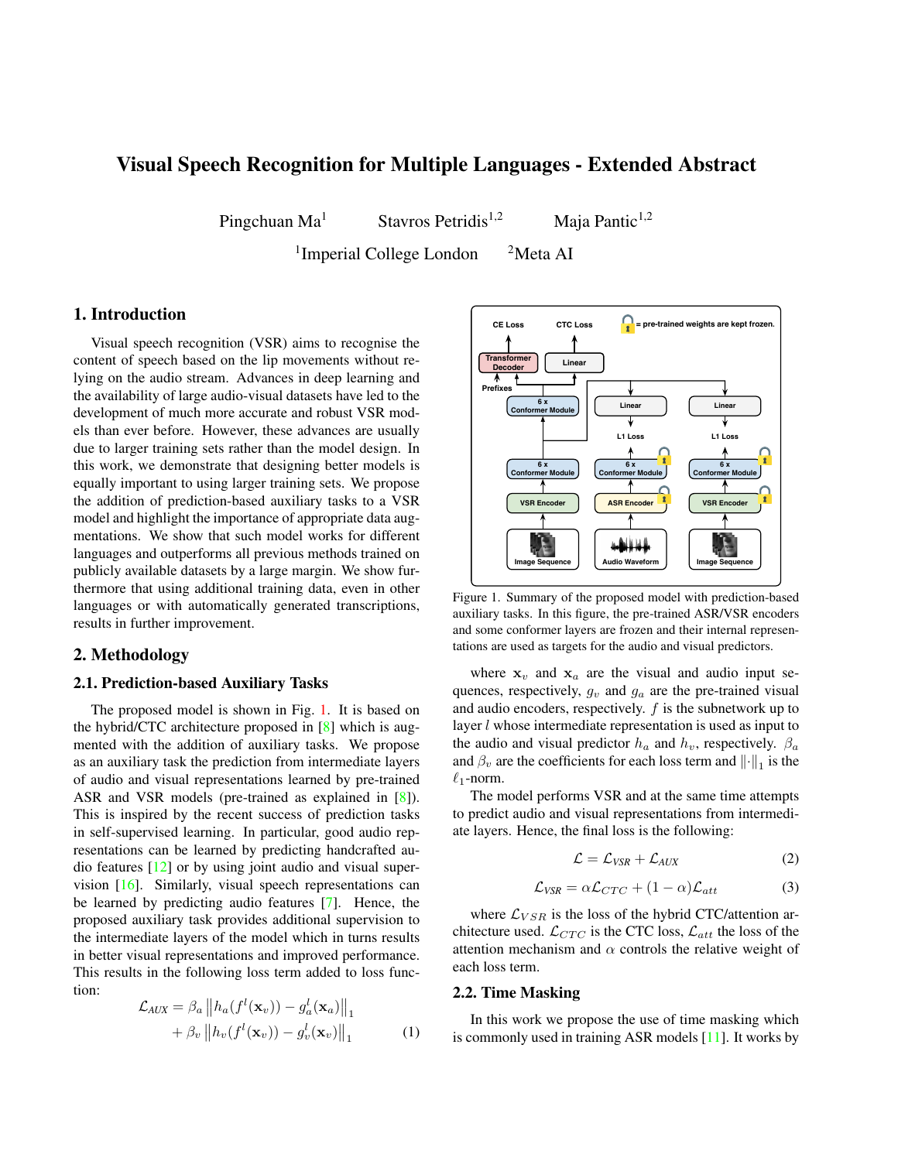# <span id="page-0-1"></span>Visual Speech Recognition for Multiple Languages - Extended Abstract

Pingchuan Ma<sup>1</sup> Stavros Petridis<sup>1,2</sup> Maja Pantic<sup>1,2</sup>

<sup>1</sup>Imperial College London <sup>2</sup>Meta AI

# 1. Introduction

Visual speech recognition (VSR) aims to recognise the content of speech based on the lip movements without relying on the audio stream. Advances in deep learning and the availability of large audio-visual datasets have led to the development of much more accurate and robust VSR models than ever before. However, these advances are usually due to larger training sets rather than the model design. In this work, we demonstrate that designing better models is equally important to using larger training sets. We propose the addition of prediction-based auxiliary tasks to a VSR model and highlight the importance of appropriate data augmentations. We show that such model works for different languages and outperforms all previous methods trained on publicly available datasets by a large margin. We show furthermore that using additional training data, even in other languages or with automatically generated transcriptions, results in further improvement.

### 2. Methodology

# 2.1. Prediction-based Auxiliary Tasks

The proposed model is shown in Fig. [1.](#page-0-0) It is based on the hybrid/CTC architecture proposed in [\[8\]](#page-2-0) which is augmented with the addition of auxiliary tasks. We propose as an auxiliary task the prediction from intermediate layers of audio and visual representations learned by pre-trained ASR and VSR models (pre-trained as explained in [\[8\]](#page-2-0)). This is inspired by the recent success of prediction tasks in self-supervised learning. In particular, good audio representations can be learned by predicting handcrafted audio features [\[12\]](#page-2-1) or by using joint audio and visual supervision [\[16\]](#page-2-2). Similarly, visual speech representations can be learned by predicting audio features [\[7\]](#page-2-3). Hence, the proposed auxiliary task provides additional supervision to the intermediate layers of the model which in turns results in better visual representations and improved performance. This results in the following loss term added to loss function:

$$
\mathcal{L}_{AUX} = \beta_a \|h_a(f^l(\mathbf{x}_v)) - g_a^l(\mathbf{x}_a)\|_1
$$
  
+  $\beta_v \|h_v(f^l(\mathbf{x}_v)) - g_v^l(\mathbf{x}_v)\|_1$  (1)

<span id="page-0-0"></span>

Figure 1. Summary of the proposed model with prediction-based auxiliary tasks. In this figure, the pre-trained ASR/VSR encoders and some conformer layers are frozen and their internal representations are used as targets for the audio and visual predictors.

where  $x_v$  and  $x_a$  are the visual and audio input sequences, respectively,  $g_v$  and  $g_a$  are the pre-trained visual and audio encoders, respectively.  $f$  is the subnetwork up to layer *l* whose intermediate representation is used as input to the audio and visual predictor  $h_a$  and  $h_v$ , respectively.  $\beta_a$ and  $\beta_v$  are the coefficients for each loss term and  $\lVert \cdot \rVert_1$  is the  $\ell_1$ -norm.

The model performs VSR and at the same time attempts to predict audio and visual representations from intermediate layers. Hence, the final loss is the following:

$$
\mathcal{L} = \mathcal{L}_{VSR} + \mathcal{L}_{AUX} \tag{2}
$$

$$
\mathcal{L}_{VSR} = \alpha \mathcal{L}_{CTC} + (1 - \alpha) \mathcal{L}_{att} \tag{3}
$$

where  $\mathcal{L}_{VSR}$  is the loss of the hybrid CTC/attention architecture used.  $\mathcal{L}_{CTC}$  is the CTC loss,  $\mathcal{L}_{att}$  the loss of the attention mechanism and  $\alpha$  controls the relative weight of each loss term.

#### 2.2. Time Masking

In this work we propose the use of time masking which is commonly used in training ASR models [\[11\]](#page-2-4). It works by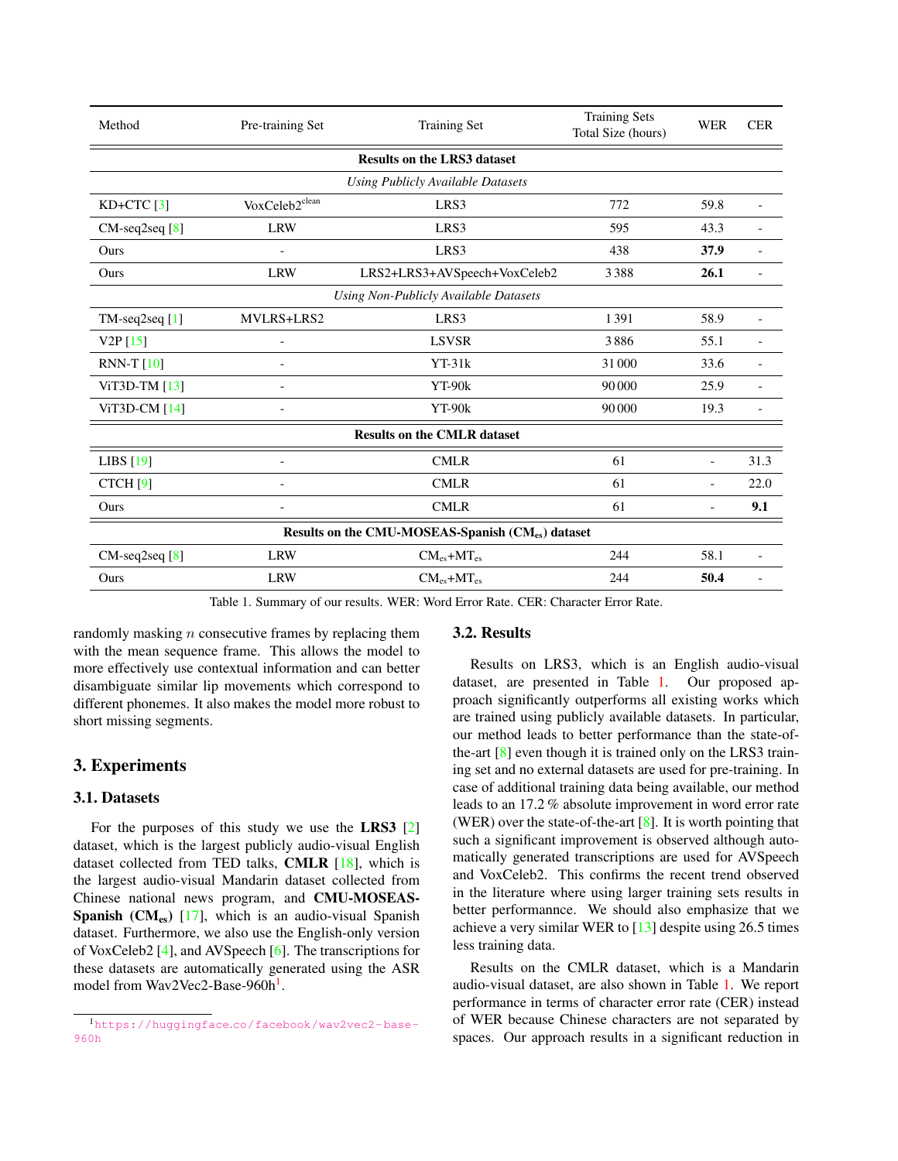<span id="page-1-2"></span><span id="page-1-1"></span>

| Method                                           | Pre-training Set         | <b>Training Set</b>          | <b>Training Sets</b><br>Total Size (hours) | <b>WER</b>               | <b>CER</b>               |
|--------------------------------------------------|--------------------------|------------------------------|--------------------------------------------|--------------------------|--------------------------|
| <b>Results on the LRS3 dataset</b>               |                          |                              |                                            |                          |                          |
| Using Publicly Available Datasets                |                          |                              |                                            |                          |                          |
| $KD+CTC$ [3]                                     | VoxCeleb2clean           | LRS3                         | 772                                        | 59.8                     | $\overline{\phantom{a}}$ |
| CM-seq2seq [8]                                   | <b>LRW</b>               | LRS3                         | 595                                        | 43.3                     |                          |
| Ours                                             | $\blacksquare$           | LRS3                         | 438                                        | 37.9                     | $\overline{\phantom{a}}$ |
| Ours                                             | <b>LRW</b>               | LRS2+LRS3+AVSpeech+VoxCeleb2 | 3388                                       | 26.1                     |                          |
| Using Non-Publicly Available Datasets            |                          |                              |                                            |                          |                          |
| $TM$ -seq2seq $[1]$                              | MVLRS+LRS2               | LRS3                         | 1391                                       | 58.9                     | $\blacksquare$           |
| V2P[15]                                          |                          | <b>LSVSR</b>                 | 3886                                       | 55.1                     |                          |
| RNN-T $[10]$                                     |                          | $YT-31k$                     | 31 000                                     | 33.6                     |                          |
| ViT3D-TM $[13]$                                  |                          | YT-90k                       | 90 000                                     | 25.9                     |                          |
| ViT3D-CM [14]                                    |                          | $YT-90k$                     | 90 000                                     | 19.3                     | $\overline{a}$           |
| <b>Results on the CMLR dataset</b>               |                          |                              |                                            |                          |                          |
| LIBS $[19]$                                      | ٠                        | <b>CMLR</b>                  | 61                                         | $\blacksquare$           | 31.3                     |
| CTCH [9]                                         | $\overline{a}$           | <b>CMLR</b>                  | 61                                         | ٠                        | 22.0                     |
| Ours                                             | $\overline{\phantom{a}}$ | <b>CMLR</b>                  | 61                                         | $\overline{\phantom{a}}$ | 9.1                      |
| Results on the CMU-MOSEAS-Spanish (CMes) dataset |                          |                              |                                            |                          |                          |
| $CM$ -seq2seq $[8]$                              | <b>LRW</b>               | $CM_{es}+MT_{es}$            | 244                                        | 58.1                     | ٠                        |
| Ours                                             | <b>LRW</b>               | $CM_{es} + MT_{es}$          | 244                                        | 50.4                     | $\blacksquare$           |

Table 1. Summary of our results. WER: Word Error Rate. CER: Character Error Rate.

randomly masking *n* consecutive frames by replacing them with the mean sequence frame. This allows the model to more effectively use contextual information and can better disambiguate similar lip movements which correspond to different phonemes. It also makes the model more robust to short missing segments.

# 3. Experiments

# 3.1. Datasets

For the purposes of this study we use the LRS3 [\[2\]](#page-2-13) dataset, which is the largest publicly audio-visual English dataset collected from TED talks, CMLR [\[18\]](#page-2-14), which is the largest audio-visual Mandarin dataset collected from Chinese national news program, and CMU-MOSEAS-Spanish  $(CM_{es})$  [\[17\]](#page-2-15), which is an audio-visual Spanish dataset. Furthermore, we also use the English-only version of VoxCeleb2 [\[4\]](#page-2-16), and AVSpeech [\[6\]](#page-2-17). The transcriptions for these datasets are automatically generated using the ASR model from Wav2Vec2-Base-960h<sup>[1](#page-1-0)</sup>.

# 3.2. Results

Results on LRS3, which is an English audio-visual dataset, are presented in Table [1.](#page-1-1) Our proposed approach significantly outperforms all existing works which are trained using publicly available datasets. In particular, our method leads to better performance than the state-ofthe-art  $[8]$  even though it is trained only on the LRS3 training set and no external datasets are used for pre-training. In case of additional training data being available, our method leads to an 17.2 % absolute improvement in word error rate (WER) over the state-of-the-art  $[8]$ . It is worth pointing that such a significant improvement is observed although automatically generated transcriptions are used for AVSpeech and VoxCeleb2. This confirms the recent trend observed in the literature where using larger training sets results in better performannce. We should also emphasize that we achieve a very similar WER to [\[13\]](#page-2-9) despite using 26.5 times less training data.

Results on the CMLR dataset, which is a Mandarin audio-visual dataset, are also shown in Table [1.](#page-1-1) We report performance in terms of character error rate (CER) instead of WER because Chinese characters are not separated by spaces. Our approach results in a significant reduction in

<span id="page-1-0"></span><sup>1</sup>https://huggingface.[co/facebook/wav2vec2-base-](https://huggingface.co/facebook/wav2vec2-base-960h)[960h](https://huggingface.co/facebook/wav2vec2-base-960h)